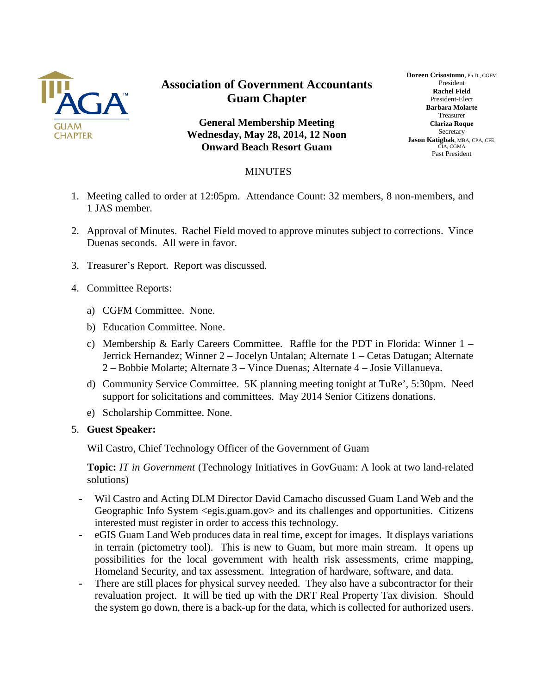

## **Association of Government Accountants Guam Chapter**

**General Membership Meeting Wednesday, May 28, 2014, 12 Noon Onward Beach Resort Guam**

## **Doreen Crisostomo**, Ph.D., CGFM President **Rachel Field** President-Elect **Barbara Molarte** Treasurer **Clariza Roque** Secretary **Jason Katigbak**, MBA, CPA, CFE, CIA, CGMA Past President

## MINUTES

- 1. Meeting called to order at 12:05pm. Attendance Count: 32 members, 8 non-members, and 1 JAS member.
- 2. Approval of Minutes. Rachel Field moved to approve minutes subject to corrections. Vince Duenas seconds. All were in favor.
- 3. Treasurer's Report. Report was discussed.
- 4. Committee Reports:
	- a) CGFM Committee. None.
	- b) Education Committee. None.
	- c) Membership & Early Careers Committee. Raffle for the PDT in Florida: Winner  $1 -$ Jerrick Hernandez; Winner 2 – Jocelyn Untalan; Alternate 1 – Cetas Datugan; Alternate 2 – Bobbie Molarte; Alternate 3 – Vince Duenas; Alternate 4 – Josie Villanueva.
	- d) Community Service Committee. 5K planning meeting tonight at TuRe', 5:30pm. Need support for solicitations and committees. May 2014 Senior Citizens donations.
	- e) Scholarship Committee. None.
- 5. **Guest Speaker:**

Wil Castro, Chief Technology Officer of the Government of Guam

**Topic:** *IT in Government* (Technology Initiatives in GovGuam: A look at two land-related solutions)

- **-** Wil Castro and Acting DLM Director David Camacho discussed Guam Land Web and the Geographic Info System <egis.guam.gov> and its challenges and opportunities. Citizens interested must register in order to access this technology.
- **-** eGIS Guam Land Web produces data in real time, except for images. It displays variations in terrain (pictometry tool). This is new to Guam, but more main stream. It opens up possibilities for the local government with health risk assessments, crime mapping, Homeland Security, and tax assessment. Integration of hardware, software, and data.
- **-** There are still places for physical survey needed. They also have a subcontractor for their revaluation project. It will be tied up with the DRT Real Property Tax division. Should the system go down, there is a back-up for the data, which is collected for authorized users.